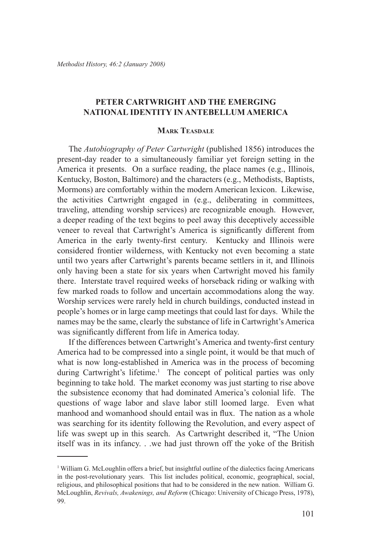# **Peter Cartwright and the Emerging National Identity in Antebellum America**

### **Mark Teasdale**

The *Autobiography of Peter Cartwright* (published 1856) introduces the present-day reader to a simultaneously familiar yet foreign setting in the America it presents. On a surface reading, the place names (e.g., Illinois, Kentucky, Boston, Baltimore) and the characters (e.g., Methodists, Baptists, Mormons) are comfortably within the modern American lexicon. Likewise, the activities Cartwright engaged in (e.g., deliberating in committees, traveling, attending worship services) are recognizable enough. However, a deeper reading of the text begins to peel away this deceptively accessible veneer to reveal that Cartwright's America is significantly different from America in the early twenty-first century. Kentucky and Illinois were considered frontier wilderness, with Kentucky not even becoming a state until two years after Cartwright's parents became settlers in it, and Illinois only having been a state for six years when Cartwright moved his family there. Interstate travel required weeks of horseback riding or walking with few marked roads to follow and uncertain accommodations along the way. Worship services were rarely held in church buildings, conducted instead in people's homes or in large camp meetings that could last for days. While the names may be the same, clearly the substance of life in Cartwright's America was significantly different from life in America today.

If the differences between Cartwright's America and twenty-first century America had to be compressed into a single point, it would be that much of what is now long-established in America was in the process of becoming during Cartwright's lifetime.<sup>1</sup> The concept of political parties was only beginning to take hold. The market economy was just starting to rise above the subsistence economy that had dominated America's colonial life. The questions of wage labor and slave labor still loomed large. Even what manhood and womanhood should entail was in flux. The nation as a whole was searching for its identity following the Revolution, and every aspect of life was swept up in this search. As Cartwright described it, "The Union itself was in its infancy. . .we had just thrown off the yoke of the British

<sup>1</sup> William G. McLoughlin offers a brief, but insightful outline of the dialectics facing Americans in the post-revolutionary years. This list includes political, economic, geographical, social, religious, and philosophical positions that had to be considered in the new nation. William G. McLoughlin, *Revivals, Awakenings, and Reform* (Chicago: University of Chicago Press, 1978), 99.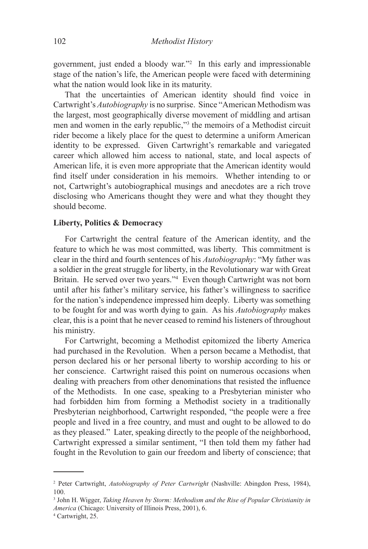government, just ended a bloody war."2 In this early and impressionable stage of the nation's life, the American people were faced with determining what the nation would look like in its maturity.

That the uncertainties of American identity should find voice in Cartwright's *Autobiography* is no surprise. Since "American Methodism was the largest, most geographically diverse movement of middling and artisan men and women in the early republic,"<sup>3</sup> the memoirs of a Methodist circuit rider become a likely place for the quest to determine a uniform American identity to be expressed. Given Cartwright's remarkable and variegated career which allowed him access to national, state, and local aspects of American life, it is even more appropriate that the American identity would find itself under consideration in his memoirs. Whether intending to or not, Cartwright's autobiographical musings and anecdotes are a rich trove disclosing who Americans thought they were and what they thought they should become.

# **Liberty, Politics & Democracy**

For Cartwright the central feature of the American identity, and the feature to which he was most committed, was liberty. This commitment is clear in the third and fourth sentences of his *Autobiography*: "My father was a soldier in the great struggle for liberty, in the Revolutionary war with Great Britain. He served over two years."4 Even though Cartwright was not born until after his father's military service, his father's willingness to sacrifice for the nation's independence impressed him deeply. Liberty was something to be fought for and was worth dying to gain. As his *Autobiography* makes clear, this is a point that he never ceased to remind his listeners of throughout his ministry.

For Cartwright, becoming a Methodist epitomized the liberty America had purchased in the Revolution. When a person became a Methodist, that person declared his or her personal liberty to worship according to his or her conscience. Cartwright raised this point on numerous occasions when dealing with preachers from other denominations that resisted the influence of the Methodists. In one case, speaking to a Presbyterian minister who had forbidden him from forming a Methodist society in a traditionally Presbyterian neighborhood, Cartwright responded, "the people were a free people and lived in a free country, and must and ought to be allowed to do as they pleased." Later, speaking directly to the people of the neighborhood, Cartwright expressed a similar sentiment, "I then told them my father had fought in the Revolution to gain our freedom and liberty of conscience; that

<sup>2</sup> Peter Cartwright, *Autobiography of Peter Cartwright* (Nashville: Abingdon Press, 1984), 100.

<sup>3</sup> John H. Wigger, *Taking Heaven by Storm: Methodism and the Rise of Popular Christianity in America* (Chicago: University of Illinois Press, 2001), 6.

<sup>4</sup> Cartwright, 25.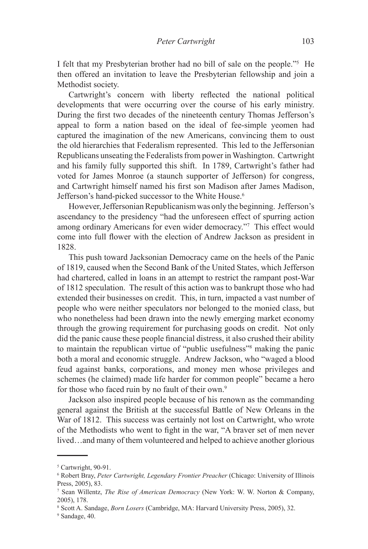I felt that my Presbyterian brother had no bill of sale on the people."5 He then offered an invitation to leave the Presbyterian fellowship and join a Methodist society.

Cartwright's concern with liberty reflected the national political developments that were occurring over the course of his early ministry. During the first two decades of the nineteenth century Thomas Jefferson's appeal to form a nation based on the ideal of fee-simple yeomen had captured the imagination of the new Americans, convincing them to oust the old hierarchies that Federalism represented. This led to the Jeffersonian Republicans unseating the Federalists from power in Washington. Cartwright and his family fully supported this shift. In 1789, Cartwright's father had voted for James Monroe (a staunch supporter of Jefferson) for congress, and Cartwright himself named his first son Madison after James Madison, Jefferson's hand-picked successor to the White House.<sup>6</sup>

However, Jeffersonian Republicanism was only the beginning. Jefferson's ascendancy to the presidency "had the unforeseen effect of spurring action among ordinary Americans for even wider democracy."7 This effect would come into full flower with the election of Andrew Jackson as president in 1828.

This push toward Jacksonian Democracy came on the heels of the Panic of 1819, caused when the Second Bank of the United States, which Jefferson had chartered, called in loans in an attempt to restrict the rampant post-War of 1812 speculation. The result of this action was to bankrupt those who had extended their businesses on credit. This, in turn, impacted a vast number of people who were neither speculators nor belonged to the monied class, but who nonetheless had been drawn into the newly emerging market economy through the growing requirement for purchasing goods on credit. Not only did the panic cause these people financial distress, it also crushed their ability to maintain the republican virtue of "public usefulness"8 making the panic both a moral and economic struggle. Andrew Jackson, who "waged a blood feud against banks, corporations, and money men whose privileges and schemes (he claimed) made life harder for common people" became a hero for those who faced ruin by no fault of their own.<sup>9</sup>

Jackson also inspired people because of his renown as the commanding general against the British at the successful Battle of New Orleans in the War of 1812. This success was certainly not lost on Cartwright, who wrote of the Methodists who went to fight in the war, "A braver set of men never lived…and many of them volunteered and helped to achieve another glorious

<sup>5</sup> Cartwright, 90-91.

<sup>6</sup> Robert Bray, *Peter Cartwright, Legendary Frontier Preacher* (Chicago: University of Illinois Press, 2005), 83.

<sup>7</sup> Sean Willentz, *The Rise of American Democracy* (New York: W. W. Norton & Company, 2005), 178.

<sup>8</sup> Scott A. Sandage, *Born Losers* (Cambridge, MA: Harvard University Press, 2005), 32.

<sup>9</sup> Sandage, 40.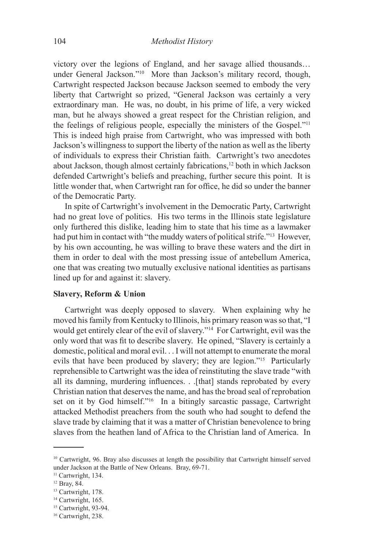victory over the legions of England, and her savage allied thousands… under General Jackson."10 More than Jackson's military record, though, Cartwright respected Jackson because Jackson seemed to embody the very liberty that Cartwright so prized, "General Jackson was certainly a very extraordinary man. He was, no doubt, in his prime of life, a very wicked man, but he always showed a great respect for the Christian religion, and the feelings of religious people, especially the ministers of the Gospel."11 This is indeed high praise from Cartwright, who was impressed with both Jackson's willingness to support the liberty of the nation as well as the liberty of individuals to express their Christian faith. Cartwright's two anecdotes about Jackson, though almost certainly fabrications,<sup>12</sup> both in which Jackson defended Cartwright's beliefs and preaching, further secure this point. It is little wonder that, when Cartwright ran for office, he did so under the banner of the Democratic Party.

In spite of Cartwright's involvement in the Democratic Party, Cartwright had no great love of politics. His two terms in the Illinois state legislature only furthered this dislike, leading him to state that his time as a lawmaker had put him in contact with "the muddy waters of political strife."13 However, by his own accounting, he was willing to brave these waters and the dirt in them in order to deal with the most pressing issue of antebellum America, one that was creating two mutually exclusive national identities as partisans lined up for and against it: slavery.

# **Slavery, Reform & Union**

Cartwright was deeply opposed to slavery. When explaining why he moved his family from Kentucky to Illinois, his primary reason was so that, "I would get entirely clear of the evil of slavery."<sup>14</sup> For Cartwright, evil was the only word that was fit to describe slavery. He opined, "Slavery is certainly a domestic, political and moral evil. . . I will not attempt to enumerate the moral evils that have been produced by slavery; they are legion."15 Particularly reprehensible to Cartwright was the idea of reinstituting the slave trade "with all its damning, murdering influences. . .[that] stands reprobated by every Christian nation that deserves the name, and has the broad seal of reprobation set on it by God himself."<sup>16</sup> In a bitingly sarcastic passage, Cartwright attacked Methodist preachers from the south who had sought to defend the slave trade by claiming that it was a matter of Christian benevolence to bring slaves from the heathen land of Africa to the Christian land of America. In

<sup>10</sup> Cartwright, 96. Bray also discusses at length the possibility that Cartwright himself served under Jackson at the Battle of New Orleans. Bray, 69-71.

<sup>&</sup>lt;sup>11</sup> Cartwright, 134.

<sup>12</sup> Bray, 84.

<sup>&</sup>lt;sup>13</sup> Cartwright, 178.

<sup>&</sup>lt;sup>14</sup> Cartwright, 165.

<sup>&</sup>lt;sup>15</sup> Cartwright, 93-94.

<sup>&</sup>lt;sup>16</sup> Cartwright, 238.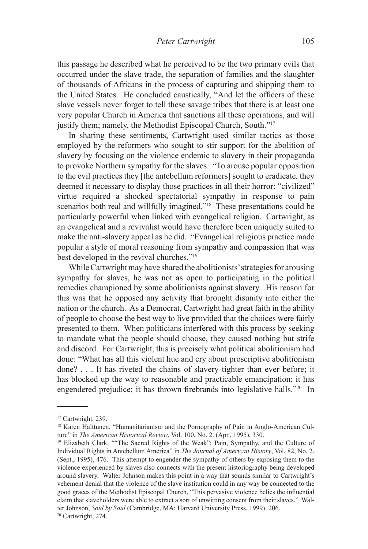this passage he described what he perceived to be the two primary evils that occurred under the slave trade, the separation of families and the slaughter of thousands of Africans in the process of capturing and shipping them to the United States. He concluded caustically, "And let the officers of these slave vessels never forget to tell these savage tribes that there is at least one very popular Church in America that sanctions all these operations, and will justify them; namely, the Methodist Episcopal Church, South."<sup>17</sup>

In sharing these sentiments, Cartwright used similar tactics as those employed by the reformers who sought to stir support for the abolition of slavery by focusing on the violence endemic to slavery in their propaganda to provoke Northern sympathy for the slaves. "To arouse popular opposition to the evil practices they [the antebellum reformers] sought to eradicate, they deemed it necessary to display those practices in all their horror: "civilized" virtue required a shocked spectatorial sympathy in response to pain scenarios both real and willfully imagined."<sup>18</sup> These presentations could be particularly powerful when linked with evangelical religion. Cartwright, as an evangelical and a revivalist would have therefore been uniquely suited to make the anti-slavery appeal as he did. "Evangelical religious practice made popular a style of moral reasoning from sympathy and compassion that was best developed in the revival churches."19

While Cartwright may have shared the abolitionists' strategies for arousing sympathy for slaves, he was not as open to participating in the political remedies championed by some abolitionists against slavery. His reason for this was that he opposed any activity that brought disunity into either the nation or the church. As a Democrat, Cartwright had great faith in the ability of people to choose the best way to live provided that the choices were fairly presented to them. When politicians interfered with this process by seeking to mandate what the people should choose, they caused nothing but strife and discord. For Cartwright, this is precisely what political abolitionism had done: "What has all this violent hue and cry about proscriptive abolitionism done? . . . It has riveted the chains of slavery tighter than ever before; it has blocked up the way to reasonable and practicable emancipation; it has engendered prejudice; it has thrown firebrands into legislative halls."20 In

<sup>&</sup>lt;sup>17</sup> Cartwright, 239.

<sup>&</sup>lt;sup>18</sup> Karen Halttunen, "Humanitarianism and the Pornography of Pain in Anglo-American Culture" in *The American Historical Review*, Vol. 100, No. 2. (Apr., 1995), 330.

<sup>&</sup>lt;sup>19</sup> Elizabeth Clark, ""The Sacred Rights of the Weak": Pain, Sympathy, and the Culture of Individual Rights in Antebellum America" in *The Journal of American History*, Vol. 82, No. 2. (Sept., 1995), 476. This attempt to engender the sympathy of others by exposing them to the violence experienced by slaves also connects with the present historiography being developed around slavery. Walter Johnson makes this point in a way that sounds similar to Cartwright's vehement denial that the violence of the slave institution could in any way be connected to the good graces of the Methodist Episcopal Church, "This pervasive violence belies the influential claim that slaveholders were able to extract a sort of unwitting consent from their slaves." Walter Johnson, *Soul by Soul* (Cambridge, MA: Harvard University Press, 1999), 206. 20 Cartwright, 274.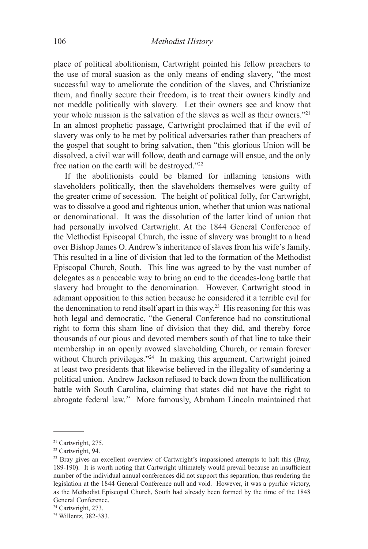place of political abolitionism, Cartwright pointed his fellow preachers to the use of moral suasion as the only means of ending slavery, "the most successful way to ameliorate the condition of the slaves, and Christianize them, and finally secure their freedom, is to treat their owners kindly and not meddle politically with slavery. Let their owners see and know that your whole mission is the salvation of the slaves as well as their owners."21 In an almost prophetic passage, Cartwright proclaimed that if the evil of slavery was only to be met by political adversaries rather than preachers of the gospel that sought to bring salvation, then "this glorious Union will be dissolved, a civil war will follow, death and carnage will ensue, and the only free nation on the earth will be destroyed."22

If the abolitionists could be blamed for inflaming tensions with slaveholders politically, then the slaveholders themselves were guilty of the greater crime of secession. The height of political folly, for Cartwright, was to dissolve a good and righteous union, whether that union was national or denominational. It was the dissolution of the latter kind of union that had personally involved Cartwright. At the 1844 General Conference of the Methodist Episcopal Church, the issue of slavery was brought to a head over Bishop James O. Andrew's inheritance of slaves from his wife's family. This resulted in a line of division that led to the formation of the Methodist Episcopal Church, South. This line was agreed to by the vast number of delegates as a peaceable way to bring an end to the decades-long battle that slavery had brought to the denomination. However, Cartwright stood in adamant opposition to this action because he considered it a terrible evil for the denomination to rend itself apart in this way.23 His reasoning for this was both legal and democratic, "the General Conference had no constitutional right to form this sham line of division that they did, and thereby force thousands of our pious and devoted members south of that line to take their membership in an openly avowed slaveholding Church, or remain forever without Church privileges."<sup>24</sup> In making this argument, Cartwright joined at least two presidents that likewise believed in the illegality of sundering a political union. Andrew Jackson refused to back down from the nullification battle with South Carolina, claiming that states did not have the right to abrogate federal law.25 More famously, Abraham Lincoln maintained that

<sup>21</sup> Cartwright, 275.

<sup>22</sup> Cartwright, 94.

<sup>&</sup>lt;sup>23</sup> Bray gives an excellent overview of Cartwright's impassioned attempts to halt this (Bray, 189-190). It is worth noting that Cartwright ultimately would prevail because an insufficient number of the individual annual conferences did not support this separation, thus rendering the legislation at the 1844 General Conference null and void. However, it was a pyrrhic victory, as the Methodist Episcopal Church, South had already been formed by the time of the 1848 General Conference.

<sup>&</sup>lt;sup>24</sup> Cartwright, 273.

<sup>25</sup> Willentz, 382-383.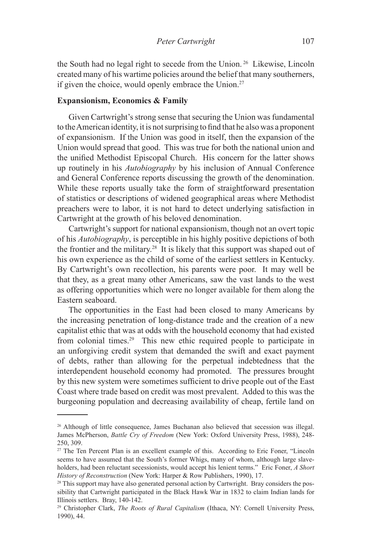the South had no legal right to secede from the Union. 26 Likewise, Lincoln created many of his wartime policies around the belief that many southerners, if given the choice, would openly embrace the Union.<sup>27</sup>

# **Expansionism, Economics & Family**

Given Cartwright's strong sense that securing the Union was fundamental to the American identity, it is not surprising to find that he also was a proponent of expansionism. If the Union was good in itself, then the expansion of the Union would spread that good. This was true for both the national union and the unified Methodist Episcopal Church. His concern for the latter shows up routinely in his *Autobiography* by his inclusion of Annual Conference and General Conference reports discussing the growth of the denomination. While these reports usually take the form of straightforward presentation of statistics or descriptions of widened geographical areas where Methodist preachers were to labor, it is not hard to detect underlying satisfaction in Cartwright at the growth of his beloved denomination.

Cartwright's support for national expansionism, though not an overt topic of his *Autobiography*, is perceptible in his highly positive depictions of both the frontier and the military.28 It is likely that this support was shaped out of his own experience as the child of some of the earliest settlers in Kentucky. By Cartwright's own recollection, his parents were poor. It may well be that they, as a great many other Americans, saw the vast lands to the west as offering opportunities which were no longer available for them along the Eastern seaboard.

The opportunities in the East had been closed to many Americans by the increasing penetration of long-distance trade and the creation of a new capitalist ethic that was at odds with the household economy that had existed from colonial times.<sup>29</sup> This new ethic required people to participate in an unforgiving credit system that demanded the swift and exact payment of debts, rather than allowing for the perpetual indebtedness that the interdependent household economy had promoted. The pressures brought by this new system were sometimes sufficient to drive people out of the East Coast where trade based on credit was most prevalent. Added to this was the burgeoning population and decreasing availability of cheap, fertile land on

<sup>26</sup> Although of little consequence, James Buchanan also believed that secession was illegal. James McPherson, *Battle Cry of Freedom* (New York: Oxford University Press, 1988), 248- 250, 309.

<sup>&</sup>lt;sup>27</sup> The Ten Percent Plan is an excellent example of this. According to Eric Foner, "Lincoln seems to have assumed that the South's former Whigs, many of whom, although large slaveholders, had been reluctant secessionists, would accept his lenient terms." Eric Foner, *A Short History of Reconstruction* (New York: Harper & Row Publishers, 1990), 17.

<sup>&</sup>lt;sup>28</sup> This support may have also generated personal action by Cartwright. Bray considers the possibility that Cartwright participated in the Black Hawk War in 1832 to claim Indian lands for Illinois settlers. Bray, 140-142.

<sup>29</sup> Christopher Clark, *The Roots of Rural Capitalism* (Ithaca, NY: Cornell University Press, 1990), 44.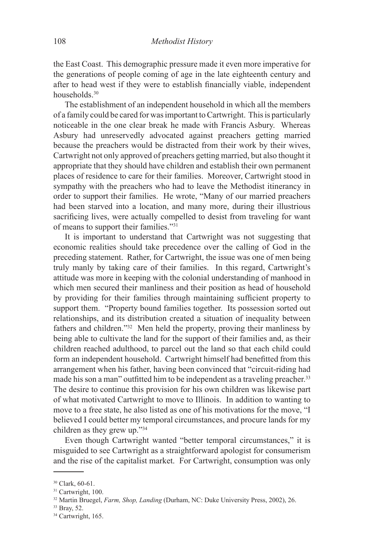the East Coast. This demographic pressure made it even more imperative for the generations of people coming of age in the late eighteenth century and after to head west if they were to establish financially viable, independent households.<sup>30</sup>

The establishment of an independent household in which all the members of a family could be cared for was important to Cartwright. This is particularly noticeable in the one clear break he made with Francis Asbury. Whereas Asbury had unreservedly advocated against preachers getting married because the preachers would be distracted from their work by their wives, Cartwright not only approved of preachers getting married, but also thought it appropriate that they should have children and establish their own permanent places of residence to care for their families. Moreover, Cartwright stood in sympathy with the preachers who had to leave the Methodist itinerancy in order to support their families. He wrote, "Many of our married preachers had been starved into a location, and many more, during their illustrious sacrificing lives, were actually compelled to desist from traveling for want of means to support their families."31

It is important to understand that Cartwright was not suggesting that economic realities should take precedence over the calling of God in the preceding statement. Rather, for Cartwright, the issue was one of men being truly manly by taking care of their families. In this regard, Cartwright's attitude was more in keeping with the colonial understanding of manhood in which men secured their manliness and their position as head of household by providing for their families through maintaining sufficient property to support them. "Property bound families together. Its possession sorted out relationships, and its distribution created a situation of inequality between fathers and children."32 Men held the property, proving their manliness by being able to cultivate the land for the support of their families and, as their children reached adulthood, to parcel out the land so that each child could form an independent household. Cartwright himself had benefitted from this arrangement when his father, having been convinced that "circuit-riding had made his son a man" outfitted him to be independent as a traveling preacher.<sup>33</sup> The desire to continue this provision for his own children was likewise part of what motivated Cartwright to move to Illinois. In addition to wanting to move to a free state, he also listed as one of his motivations for the move, "I believed I could better my temporal circumstances, and procure lands for my children as they grew up."34

Even though Cartwright wanted "better temporal circumstances," it is misguided to see Cartwright as a straightforward apologist for consumerism and the rise of the capitalist market. For Cartwright, consumption was only

<sup>30</sup> Clark, 60-61.

<sup>&</sup>lt;sup>31</sup> Cartwright, 100.

<sup>32</sup> Martin Bruegel, *Farm, Shop, Landing* (Durham, NC: Duke University Press, 2002), 26.

<sup>33</sup> Bray, 52.

<sup>&</sup>lt;sup>34</sup> Cartwright, 165.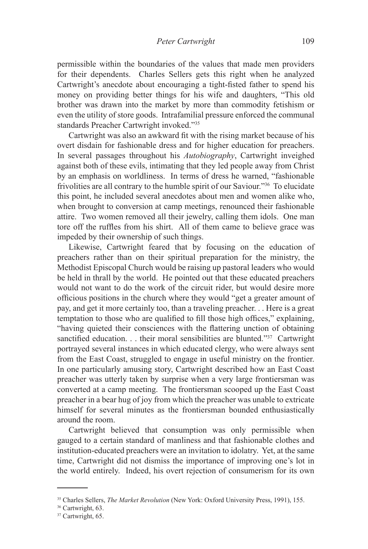permissible within the boundaries of the values that made men providers for their dependents. Charles Sellers gets this right when he analyzed Cartwright's anecdote about encouraging a tight-fisted father to spend his money on providing better things for his wife and daughters, "This old brother was drawn into the market by more than commodity fetishism or even the utility of store goods. Intrafamilial pressure enforced the communal standards Preacher Cartwright invoked."35

Cartwright was also an awkward fit with the rising market because of his overt disdain for fashionable dress and for higher education for preachers. In several passages throughout his *Autobiography*, Cartwright inveighed against both of these evils, intimating that they led people away from Christ by an emphasis on worldliness. In terms of dress he warned, "fashionable frivolities are all contrary to the humble spirit of our Saviour."36 To elucidate this point, he included several anecdotes about men and women alike who, when brought to conversion at camp meetings, renounced their fashionable attire. Two women removed all their jewelry, calling them idols. One man tore off the ruffles from his shirt. All of them came to believe grace was impeded by their ownership of such things.

Likewise, Cartwright feared that by focusing on the education of preachers rather than on their spiritual preparation for the ministry, the Methodist Episcopal Church would be raising up pastoral leaders who would be held in thrall by the world. He pointed out that these educated preachers would not want to do the work of the circuit rider, but would desire more officious positions in the church where they would "get a greater amount of pay, and get it more certainly too, than a traveling preacher. . . Here is a great temptation to those who are qualified to fill those high offices," explaining, "having quieted their consciences with the flattering unction of obtaining sanctified education. . . their moral sensibilities are blunted."<sup>37</sup> Cartwright portrayed several instances in which educated clergy, who were always sent from the East Coast, struggled to engage in useful ministry on the frontier. In one particularly amusing story, Cartwright described how an East Coast preacher was utterly taken by surprise when a very large frontiersman was converted at a camp meeting. The frontiersman scooped up the East Coast preacher in a bear hug of joy from which the preacher was unable to extricate himself for several minutes as the frontiersman bounded enthusiastically around the room.

Cartwright believed that consumption was only permissible when gauged to a certain standard of manliness and that fashionable clothes and institution-educated preachers were an invitation to idolatry. Yet, at the same time, Cartwright did not dismiss the importance of improving one's lot in the world entirely. Indeed, his overt rejection of consumerism for its own

<sup>35</sup> Charles Sellers, *The Market Revolution* (New York: Oxford University Press, 1991), 155.

<sup>36</sup> Cartwright, 63.

<sup>&</sup>lt;sup>37</sup> Cartwright, 65.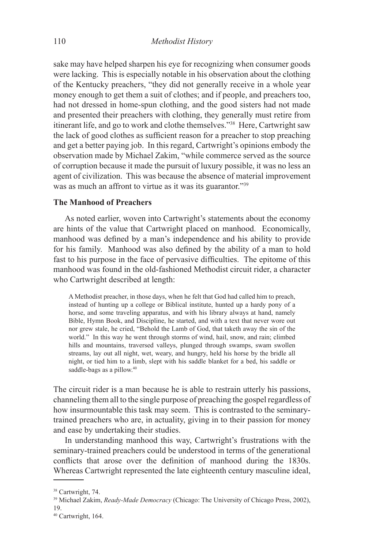sake may have helped sharpen his eye for recognizing when consumer goods were lacking. This is especially notable in his observation about the clothing of the Kentucky preachers, "they did not generally receive in a whole year money enough to get them a suit of clothes; and if people, and preachers too, had not dressed in home-spun clothing, and the good sisters had not made and presented their preachers with clothing, they generally must retire from itinerant life, and go to work and clothe themselves."38 Here, Cartwright saw the lack of good clothes as sufficient reason for a preacher to stop preaching and get a better paying job. In this regard, Cartwright's opinions embody the observation made by Michael Zakim, "while commerce served as the source of corruption because it made the pursuit of luxury possible, it was no less an agent of civilization. This was because the absence of material improvement was as much an affront to virtue as it was its guarantor."<sup>39</sup>

### **The Manhood of Preachers**

As noted earlier, woven into Cartwright's statements about the economy are hints of the value that Cartwright placed on manhood. Economically, manhood was defined by a man's independence and his ability to provide for his family. Manhood was also defined by the ability of a man to hold fast to his purpose in the face of pervasive difficulties. The epitome of this manhood was found in the old-fashioned Methodist circuit rider, a character who Cartwright described at length:

A Methodist preacher, in those days, when he felt that God had called him to preach, instead of hunting up a college or Biblical institute, hunted up a hardy pony of a horse, and some traveling apparatus, and with his library always at hand, namely Bible, Hymn Book, and Discipline, he started, and with a text that never wore out nor grew stale, he cried, "Behold the Lamb of God, that taketh away the sin of the world." In this way he went through storms of wind, hail, snow, and rain; climbed hills and mountains, traversed valleys, plunged through swamps, swam swollen streams, lay out all night, wet, weary, and hungry, held his horse by the bridle all night, or tied him to a limb, slept with his saddle blanket for a bed, his saddle or saddle-bags as a pillow.<sup>40</sup>

The circuit rider is a man because he is able to restrain utterly his passions, channeling them all to the single purpose of preaching the gospel regardless of how insurmountable this task may seem. This is contrasted to the seminarytrained preachers who are, in actuality, giving in to their passion for money and ease by undertaking their studies.

In understanding manhood this way, Cartwright's frustrations with the seminary-trained preachers could be understood in terms of the generational conflicts that arose over the definition of manhood during the 1830s. Whereas Cartwright represented the late eighteenth century masculine ideal,

<sup>38</sup> Cartwright, 74.

<sup>39</sup> Michael Zakim, *Ready-Made Democracy* (Chicago: The University of Chicago Press, 2002), 19.

<sup>40</sup> Cartwright, 164.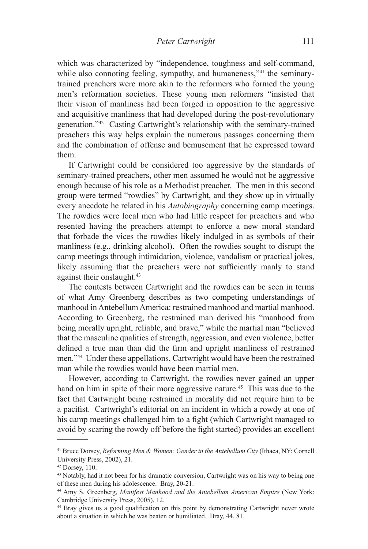which was characterized by "independence, toughness and self-command, while also connoting feeling, sympathy, and humaneness,"<sup>41</sup> the seminarytrained preachers were more akin to the reformers who formed the young men's reformation societies. These young men reformers "insisted that their vision of manliness had been forged in opposition to the aggressive and acquisitive manliness that had developed during the post-revolutionary generation."42 Casting Cartwright's relationship with the seminary-trained preachers this way helps explain the numerous passages concerning them and the combination of offense and bemusement that he expressed toward them.

If Cartwright could be considered too aggressive by the standards of seminary-trained preachers, other men assumed he would not be aggressive enough because of his role as a Methodist preacher. The men in this second group were termed "rowdies" by Cartwright, and they show up in virtually every anecdote he related in his *Autobiography* concerning camp meetings. The rowdies were local men who had little respect for preachers and who resented having the preachers attempt to enforce a new moral standard that forbade the vices the rowdies likely indulged in as symbols of their manliness (e.g., drinking alcohol). Often the rowdies sought to disrupt the camp meetings through intimidation, violence, vandalism or practical jokes, likely assuming that the preachers were not sufficiently manly to stand against their onslaught.<sup>43</sup>

The contests between Cartwright and the rowdies can be seen in terms of what Amy Greenberg describes as two competing understandings of manhood in Antebellum America: restrained manhood and martial manhood. According to Greenberg, the restrained man derived his "manhood from being morally upright, reliable, and brave," while the martial man "believed that the masculine qualities of strength, aggression, and even violence, better defined a true man than did the firm and upright manliness of restrained men."44 Under these appellations, Cartwright would have been the restrained man while the rowdies would have been martial men.

However, according to Cartwright, the rowdies never gained an upper hand on him in spite of their more aggressive nature.<sup>45</sup> This was due to the fact that Cartwright being restrained in morality did not require him to be a pacifist. Cartwright's editorial on an incident in which a rowdy at one of his camp meetings challenged him to a fight (which Cartwright managed to avoid by scaring the rowdy off before the fight started) provides an excellent

<sup>41</sup> Bruce Dorsey, *Reforming Men & Women: Gender in the Antebellum City* (Ithaca, NY: Cornell University Press, 2002), 21.

 $42$  Dorsey,  $110$ .

<sup>43</sup> Notably, had it not been for his dramatic conversion, Cartwright was on his way to being one of these men during his adolescence. Bray, 20-21.

<sup>44</sup> Amy S. Greenberg, *Manifest Manhood and the Antebellum American Empire* (New York: Cambridge University Press, 2005), 12.

<sup>45</sup> Bray gives us a good qualification on this point by demonstrating Cartwright never wrote about a situation in which he was beaten or humiliated. Bray, 44, 81.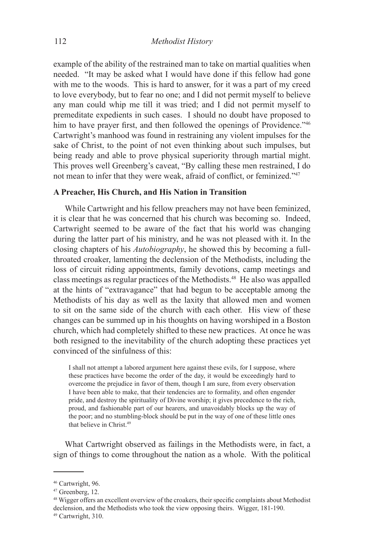example of the ability of the restrained man to take on martial qualities when needed. "It may be asked what I would have done if this fellow had gone with me to the woods. This is hard to answer, for it was a part of my creed to love everybody, but to fear no one; and I did not permit myself to believe any man could whip me till it was tried; and I did not permit myself to premeditate expedients in such cases. I should no doubt have proposed to him to have prayer first, and then followed the openings of Providence."<sup>46</sup> Cartwright's manhood was found in restraining any violent impulses for the sake of Christ, to the point of not even thinking about such impulses, but being ready and able to prove physical superiority through martial might. This proves well Greenberg's caveat, "By calling these men restrained, I do not mean to infer that they were weak, afraid of conflict, or feminized."<sup>47</sup>

## **A Preacher, His Church, and His Nation in Transition**

While Cartwright and his fellow preachers may not have been feminized, it is clear that he was concerned that his church was becoming so. Indeed, Cartwright seemed to be aware of the fact that his world was changing during the latter part of his ministry, and he was not pleased with it. In the closing chapters of his *Autobiography*, he showed this by becoming a fullthroated croaker, lamenting the declension of the Methodists, including the loss of circuit riding appointments, family devotions, camp meetings and class meetings as regular practices of the Methodists.48 He also was appalled at the hints of "extravagance" that had begun to be acceptable among the Methodists of his day as well as the laxity that allowed men and women to sit on the same side of the church with each other. His view of these changes can be summed up in his thoughts on having worshiped in a Boston church, which had completely shifted to these new practices. At once he was both resigned to the inevitability of the church adopting these practices yet convinced of the sinfulness of this:

I shall not attempt a labored argument here against these evils, for I suppose, where these practices have become the order of the day, it would be exceedingly hard to overcome the prejudice in favor of them, though I am sure, from every observation I have been able to make, that their tendencies are to formality, and often engender pride, and destroy the spirituality of Divine worship; it gives precedence to the rich, proud, and fashionable part of our hearers, and unavoidably blocks up the way of the poor; and no stumbling-block should be put in the way of one of these little ones that believe in Christ.49

What Cartwright observed as failings in the Methodists were, in fact, a sign of things to come throughout the nation as a whole. With the political

<sup>46</sup> Cartwright, 96.

<sup>47</sup> Greenberg, 12.

<sup>&</sup>lt;sup>48</sup> Wigger offers an excellent overview of the croakers, their specific complaints about Methodist declension, and the Methodists who took the view opposing theirs. Wigger, 181-190.

<sup>49</sup> Cartwright, 310.